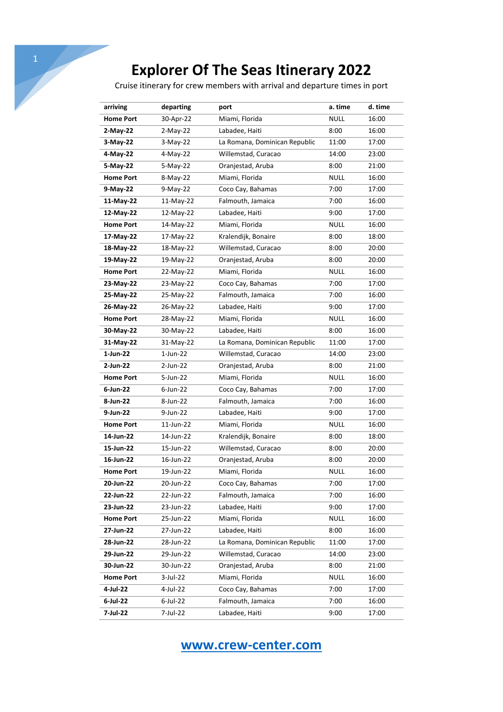Cruise itinerary for crew members with arrival and departure times in port

| arriving         | departing   | port                          | a. time     | d. time |
|------------------|-------------|-------------------------------|-------------|---------|
| <b>Home Port</b> | 30-Apr-22   | Miami, Florida                | <b>NULL</b> | 16:00   |
| $2-May-22$       | $2-May-22$  | Labadee, Haiti                | 8:00        | 16:00   |
| 3-May-22         | $3-May-22$  | La Romana, Dominican Republic | 11:00       | 17:00   |
| 4-May-22         | 4-May-22    | Willemstad, Curacao           | 14:00       | 23:00   |
| 5-May-22         | $5-May-22$  | Oranjestad, Aruba             | 8:00        | 21:00   |
| <b>Home Port</b> | 8-May-22    | Miami, Florida                | <b>NULL</b> | 16:00   |
| 9-May-22         | 9-May-22    | Coco Cay, Bahamas             | 7:00        | 17:00   |
| 11-May-22        | 11-May-22   | Falmouth, Jamaica             | 7:00        | 16:00   |
| 12-May-22        | 12-May-22   | Labadee, Haiti                | 9:00        | 17:00   |
| <b>Home Port</b> | 14-May-22   | Miami, Florida                | <b>NULL</b> | 16:00   |
| 17-May-22        | 17-May-22   | Kralendijk, Bonaire           | 8:00        | 18:00   |
| 18-May-22        | 18-May-22   | Willemstad, Curacao           | 8:00        | 20:00   |
| 19-May-22        | 19-May-22   | Oranjestad, Aruba             | 8:00        | 20:00   |
| <b>Home Port</b> | 22-May-22   | Miami, Florida                | <b>NULL</b> | 16:00   |
| 23-May-22        | 23-May-22   | Coco Cay, Bahamas             | 7:00        | 17:00   |
| 25-May-22        | 25-May-22   | Falmouth, Jamaica             | 7:00        | 16:00   |
| 26-May-22        | 26-May-22   | Labadee, Haiti                | 9:00        | 17:00   |
| <b>Home Port</b> | 28-May-22   | Miami, Florida                | <b>NULL</b> | 16:00   |
| 30-May-22        | 30-May-22   | Labadee, Haiti                | 8:00        | 16:00   |
| 31-May-22        | 31-May-22   | La Romana, Dominican Republic | 11:00       | 17:00   |
| $1-Jun-22$       | $1$ -Jun-22 | Willemstad, Curacao           | 14:00       | 23:00   |
| 2-Jun-22         | 2-Jun-22    | Oranjestad, Aruba             | 8:00        | 21:00   |
| <b>Home Port</b> | 5-Jun-22    | Miami, Florida                | <b>NULL</b> | 16:00   |
| 6-Jun-22         | 6-Jun-22    | Coco Cay, Bahamas             | 7:00        | 17:00   |
| 8-Jun-22         | 8-Jun-22    | Falmouth, Jamaica             | 7:00        | 16:00   |
| 9-Jun-22         | 9-Jun-22    | Labadee, Haiti                | 9:00        | 17:00   |
| <b>Home Port</b> | 11-Jun-22   | Miami, Florida                | <b>NULL</b> | 16:00   |
| 14-Jun-22        | 14-Jun-22   | Kralendijk, Bonaire           | 8:00        | 18:00   |
| 15-Jun-22        | 15-Jun-22   | Willemstad, Curacao           | 8:00        | 20:00   |
| 16-Jun-22        | 16-Jun-22   | Oranjestad, Aruba             | 8:00        | 20:00   |
| <b>Home Port</b> | 19-Jun-22   | Miami, Florida                | <b>NULL</b> | 16:00   |
| 20-Jun-22        | 20-Jun-22   | Coco Cay, Bahamas             | 7:00        | 17:00   |
| 22-Jun-22        | 22-Jun-22   | Falmouth, Jamaica             | 7:00        | 16:00   |
| 23-Jun-22        | 23-Jun-22   | Labadee, Haiti                | 9:00        | 17:00   |
| <b>Home Port</b> | 25-Jun-22   | Miami, Florida                | <b>NULL</b> | 16:00   |
| 27-Jun-22        | 27-Jun-22   | Labadee, Haiti                | 8:00        | 16:00   |
| 28-Jun-22        | 28-Jun-22   | La Romana, Dominican Republic | 11:00       | 17:00   |
| 29-Jun-22        | 29-Jun-22   | Willemstad, Curacao           | 14:00       | 23:00   |
| 30-Jun-22        | 30-Jun-22   | Oranjestad, Aruba             | 8:00        | 21:00   |
| <b>Home Port</b> | 3-Jul-22    | Miami, Florida                | <b>NULL</b> | 16:00   |
| 4-Jul-22         | 4-Jul-22    | Coco Cay, Bahamas             | 7:00        | 17:00   |
| 6-Jul-22         | $6$ -Jul-22 | Falmouth, Jamaica             | 7:00        | 16:00   |
| 7-Jul-22         | 7-Jul-22    | Labadee, Haiti                | 9:00        | 17:00   |

**www.crew-center.com**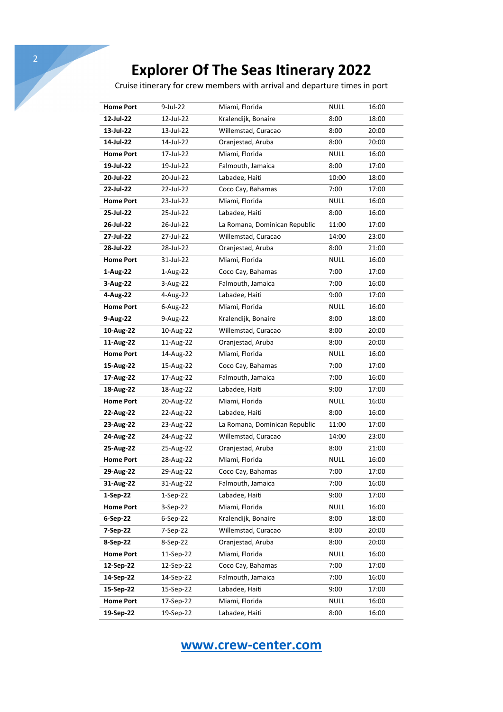Cruise itinerary for crew members with arrival and departure times in port

| <b>Home Port</b> | 9-Jul-22   | Miami, Florida                | <b>NULL</b> | 16:00 |
|------------------|------------|-------------------------------|-------------|-------|
| 12-Jul-22        | 12-Jul-22  | Kralendijk, Bonaire           | 8:00        | 18:00 |
| 13-Jul-22        | 13-Jul-22  | Willemstad, Curacao           | 8:00        | 20:00 |
| 14-Jul-22        | 14-Jul-22  | Oranjestad, Aruba             | 8:00        | 20:00 |
| <b>Home Port</b> | 17-Jul-22  | Miami, Florida                | <b>NULL</b> | 16:00 |
| 19-Jul-22        | 19-Jul-22  | Falmouth, Jamaica             | 8:00        | 17:00 |
| 20-Jul-22        | 20-Jul-22  | Labadee, Haiti                | 10:00       | 18:00 |
| 22-Jul-22        | 22-Jul-22  | Coco Cay, Bahamas             | 7:00        | 17:00 |
| <b>Home Port</b> | 23-Jul-22  | Miami, Florida                | <b>NULL</b> | 16:00 |
| 25-Jul-22        | 25-Jul-22  | Labadee, Haiti                | 8:00        | 16:00 |
| 26-Jul-22        | 26-Jul-22  | La Romana, Dominican Republic | 11:00       | 17:00 |
| 27-Jul-22        | 27-Jul-22  | Willemstad, Curacao           | 14:00       | 23:00 |
| 28-Jul-22        | 28-Jul-22  | Oranjestad, Aruba             | 8:00        | 21:00 |
| <b>Home Port</b> | 31-Jul-22  | Miami, Florida                | <b>NULL</b> | 16:00 |
| 1-Aug-22         | 1-Aug-22   | Coco Cay, Bahamas             | 7:00        | 17:00 |
| 3-Aug-22         | 3-Aug-22   | Falmouth, Jamaica             | 7:00        | 16:00 |
| 4-Aug-22         | 4-Aug-22   | Labadee, Haiti                | 9:00        | 17:00 |
| <b>Home Port</b> | 6-Aug-22   | Miami, Florida                | <b>NULL</b> | 16:00 |
| 9-Aug-22         | 9-Aug-22   | Kralendijk, Bonaire           | 8:00        | 18:00 |
| 10-Aug-22        | 10-Aug-22  | Willemstad, Curacao           | 8:00        | 20:00 |
| 11-Aug-22        | 11-Aug-22  | Oranjestad, Aruba             | 8:00        | 20:00 |
| <b>Home Port</b> | 14-Aug-22  | Miami, Florida                | <b>NULL</b> | 16:00 |
| 15-Aug-22        | 15-Aug-22  | Coco Cay, Bahamas             | 7:00        | 17:00 |
| 17-Aug-22        | 17-Aug-22  | Falmouth, Jamaica             | 7:00        | 16:00 |
| 18-Aug-22        | 18-Aug-22  | Labadee, Haiti                | 9:00        | 17:00 |
| <b>Home Port</b> | 20-Aug-22  | Miami, Florida                | <b>NULL</b> | 16:00 |
| 22-Aug-22        | 22-Aug-22  | Labadee, Haiti                | 8:00        | 16:00 |
| 23-Aug-22        | 23-Aug-22  | La Romana, Dominican Republic | 11:00       | 17:00 |
| 24-Aug-22        | 24-Aug-22  | Willemstad, Curacao           | 14:00       | 23:00 |
| 25-Aug-22        | 25-Aug-22  | Oranjestad, Aruba             | 8:00        | 21:00 |
| <b>Home Port</b> | 28-Aug-22  | Miami, Florida                | <b>NULL</b> | 16:00 |
| 29-Aug-22        | 29-Aug-22  | Coco Cay, Bahamas             | 7:00        | 17:00 |
| 31-Aug-22        | 31-Aug-22  | Falmouth, Jamaica             | 7:00        | 16:00 |
| 1-Sep-22         | $1-Sep-22$ | Labadee, Haiti                | 9:00        | 17:00 |
| <b>Home Port</b> | $3-Sep-22$ | Miami, Florida                | <b>NULL</b> | 16:00 |
| 6-Sep-22         | $6-Sep-22$ | Kralendijk, Bonaire           | 8:00        | 18:00 |
| 7-Sep-22         | 7-Sep-22   | Willemstad, Curacao           | 8:00        | 20:00 |
| 8-Sep-22         | 8-Sep-22   | Oranjestad, Aruba             | 8:00        | 20:00 |
| <b>Home Port</b> | 11-Sep-22  | Miami, Florida                | <b>NULL</b> | 16:00 |
| 12-Sep-22        | 12-Sep-22  | Coco Cay, Bahamas             | 7:00        | 17:00 |
| 14-Sep-22        | 14-Sep-22  | Falmouth, Jamaica             | 7:00        | 16:00 |
| 15-Sep-22        | 15-Sep-22  | Labadee, Haiti                | 9:00        | 17:00 |
| <b>Home Port</b> | 17-Sep-22  | Miami, Florida                | <b>NULL</b> | 16:00 |
| 19-Sep-22        | 19-Sep-22  | Labadee, Haiti                | 8:00        | 16:00 |

**www.crew-center.com**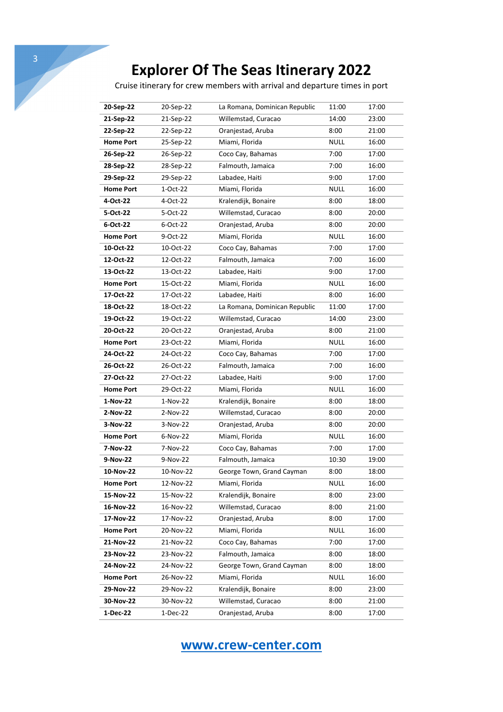Cruise itinerary for crew members with arrival and departure times in port

| 20-Sep-22        | 20-Sep-22 | La Romana, Dominican Republic | 11:00       | 17:00 |
|------------------|-----------|-------------------------------|-------------|-------|
| 21-Sep-22        | 21-Sep-22 | Willemstad, Curacao           | 14:00       | 23:00 |
| 22-Sep-22        | 22-Sep-22 | Oranjestad, Aruba             | 8:00        | 21:00 |
| <b>Home Port</b> | 25-Sep-22 | Miami, Florida                | <b>NULL</b> | 16:00 |
| 26-Sep-22        | 26-Sep-22 | Coco Cay, Bahamas             | 7:00        | 17:00 |
| 28-Sep-22        | 28-Sep-22 | Falmouth, Jamaica             | 7:00        | 16:00 |
| 29-Sep-22        | 29-Sep-22 | Labadee, Haiti                | 9:00        | 17:00 |
| <b>Home Port</b> | 1-Oct-22  | Miami, Florida                | <b>NULL</b> | 16:00 |
| 4-Oct-22         | 4-Oct-22  | Kralendijk, Bonaire           | 8:00        | 18:00 |
| 5-Oct-22         | 5-Oct-22  | Willemstad, Curacao           | 8:00        | 20:00 |
| 6-Oct-22         | 6-Oct-22  | Oranjestad, Aruba             | 8:00        | 20:00 |
| <b>Home Port</b> | 9-Oct-22  | Miami, Florida                | <b>NULL</b> | 16:00 |
| 10-Oct-22        | 10-Oct-22 | Coco Cay, Bahamas             | 7:00        | 17:00 |
| 12-Oct-22        | 12-Oct-22 | Falmouth, Jamaica             | 7:00        | 16:00 |
| 13-Oct-22        | 13-Oct-22 | Labadee, Haiti                | 9:00        | 17:00 |
| <b>Home Port</b> | 15-Oct-22 | Miami, Florida                | <b>NULL</b> | 16:00 |
| 17-Oct-22        | 17-Oct-22 | Labadee, Haiti                | 8:00        | 16:00 |
| 18-Oct-22        | 18-Oct-22 | La Romana, Dominican Republic | 11:00       | 17:00 |
| 19-Oct-22        | 19-Oct-22 | Willemstad, Curacao           | 14:00       | 23:00 |
| 20-Oct-22        | 20-Oct-22 | Oranjestad, Aruba             | 8:00        | 21:00 |
| <b>Home Port</b> | 23-Oct-22 | Miami, Florida                | <b>NULL</b> | 16:00 |
| 24-Oct-22        | 24-Oct-22 | Coco Cay, Bahamas             | 7:00        | 17:00 |
| 26-Oct-22        | 26-Oct-22 | Falmouth, Jamaica             | 7:00        | 16:00 |
| 27-Oct-22        | 27-Oct-22 | Labadee, Haiti                | 9:00        | 17:00 |
| <b>Home Port</b> | 29-Oct-22 | Miami, Florida                | <b>NULL</b> | 16:00 |
| 1-Nov-22         | 1-Nov-22  | Kralendijk, Bonaire           | 8:00        | 18:00 |
| 2-Nov-22         | 2-Nov-22  | Willemstad, Curacao           | 8:00        | 20:00 |
| 3-Nov-22         | 3-Nov-22  | Oranjestad, Aruba             | 8:00        | 20:00 |
| <b>Home Port</b> | 6-Nov-22  | Miami, Florida                | <b>NULL</b> | 16:00 |
| 7-Nov-22         | 7-Nov-22  | Coco Cay, Bahamas             | 7:00        | 17:00 |
| 9-Nov-22         | 9-Nov-22  | Falmouth, Jamaica             | 10:30       | 19:00 |
| 10-Nov-22        | 10-Nov-22 | George Town, Grand Cayman     | 8:00        | 18:00 |
| <b>Home Port</b> | 12-Nov-22 | Miami, Florida                | <b>NULL</b> | 16:00 |
| 15-Nov-22        | 15-Nov-22 | Kralendijk, Bonaire           | 8:00        | 23:00 |
| 16-Nov-22        | 16-Nov-22 | Willemstad, Curacao           | 8:00        | 21:00 |
| 17-Nov-22        | 17-Nov-22 | Oranjestad, Aruba             | 8:00        | 17:00 |
| <b>Home Port</b> | 20-Nov-22 | Miami, Florida                | <b>NULL</b> | 16:00 |
| 21-Nov-22        | 21-Nov-22 | Coco Cay, Bahamas             | 7:00        | 17:00 |
| 23-Nov-22        | 23-Nov-22 | Falmouth, Jamaica             | 8:00        | 18:00 |
| 24-Nov-22        | 24-Nov-22 | George Town, Grand Cayman     | 8:00        | 18:00 |
| <b>Home Port</b> | 26-Nov-22 | Miami, Florida                | <b>NULL</b> | 16:00 |
| 29-Nov-22        | 29-Nov-22 | Kralendijk, Bonaire           | 8:00        | 23:00 |
| 30-Nov-22        | 30-Nov-22 | Willemstad, Curacao           | 8:00        | 21:00 |
| 1-Dec-22         | 1-Dec-22  | Oranjestad, Aruba             | 8:00        | 17:00 |

**www.crew-center.com**